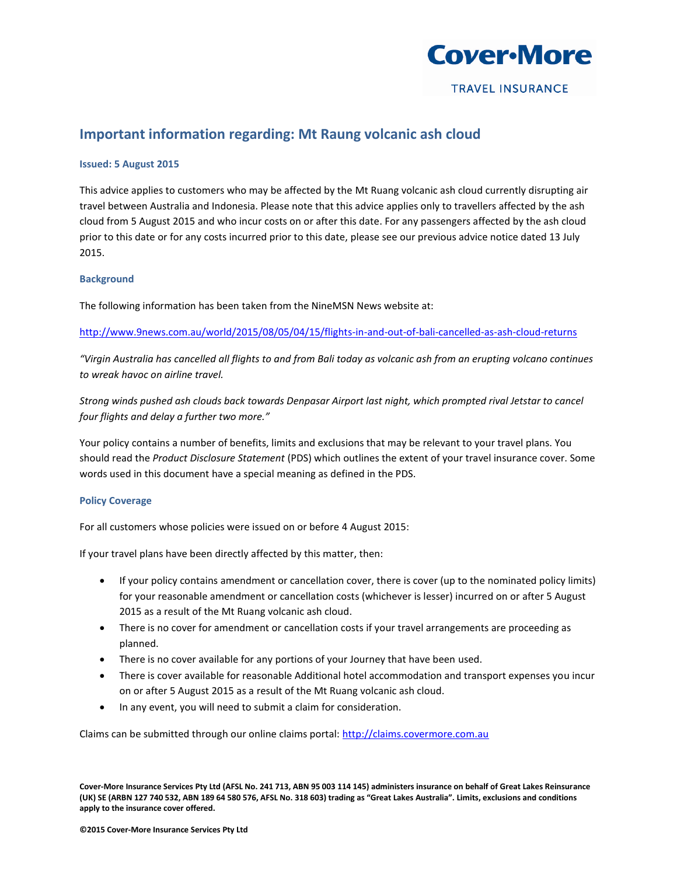

**TRAVEL INSURANCE** 

# **Important information regarding: Mt Raung volcanic ash cloud**

## **Issued: 5 August 2015**

This advice applies to customers who may be affected by the Mt Ruang volcanic ash cloud currently disrupting air travel between Australia and Indonesia. Please note that this advice applies only to travellers affected by the ash cloud from 5 August 2015 and who incur costs on or after this date. For any passengers affected by the ash cloud prior to this date or for any costs incurred prior to this date, please see our previous advice notice dated 13 July 2015.

## **Background**

The following information has been taken from the NineMSN News website at:

<http://www.9news.com.au/world/2015/08/05/04/15/flights-in-and-out-of-bali-cancelled-as-ash-cloud-returns>

*"Virgin Australia has cancelled all flights to and from Bali today as volcanic ash from an erupting volcano continues to wreak havoc on airline travel.* 

*Strong winds pushed ash clouds back towards Denpasar Airport last night, which prompted rival Jetstar to cancel four flights and delay a further two more."*

Your policy contains a number of benefits, limits and exclusions that may be relevant to your travel plans. You should read the *Product Disclosure Statement* (PDS) which outlines the extent of your travel insurance cover. Some words used in this document have a special meaning as defined in the PDS.

### **Policy Coverage**

For all customers whose policies were issued on or before 4 August 2015:

If your travel plans have been directly affected by this matter, then:

- If your policy contains amendment or cancellation cover, there is cover (up to the nominated policy limits) for your reasonable amendment or cancellation costs (whichever is lesser) incurred on or after 5 August 2015 as a result of the Mt Ruang volcanic ash cloud.
- There is no cover for amendment or cancellation costs if your travel arrangements are proceeding as planned.
- There is no cover available for any portions of your Journey that have been used.
- There is cover available for reasonable Additional hotel accommodation and transport expenses you incur on or after 5 August 2015 as a result of the Mt Ruang volcanic ash cloud.
- In any event, you will need to submit a claim for consideration.

Claims can be submitted through our online claims portal[: http://claims.covermore.com.au](http://claims.covermore.com.au/)

**Cover-More Insurance Services Pty Ltd (AFSL No. 241 713, ABN 95 003 114 145) administers insurance on behalf of Great Lakes Reinsurance (UK) SE (ARBN 127 740 532, ABN 189 64 580 576, AFSL No. 318 603) trading as "Great Lakes Australia". Limits, exclusions and conditions apply to the insurance cover offered.**